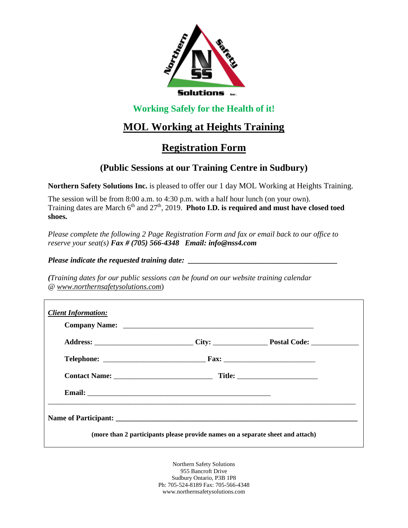

#### **Working Safely for the Health of it!**

# **MOL Working at Heights Training**

## **Registration Form**

### **(Public Sessions at our Training Centre in Sudbury)**

**Northern Safety Solutions Inc.** is pleased to offer our 1 day MOL Working at Heights Training.

The session will be from 8:00 a.m. to 4:30 p.m. with a half hour lunch (on your own). Training dates are March 6<sup>th</sup> and 27<sup>th</sup>, 2019. **Photo I.D. is required and must have closed toed shoes.**

*Please complete the following 2 Page Registration Form and fax or email back to our office to reserve your seat(s) Fax # (705) 566-4348 Email: info@nss4.com*

*Please indicate the requested training date:* 

*(Training dates for our public sessions can be found on our website training calendar @ www.northernsafetysolutions.com*)

Northern Safety Solutions 955 Bancroft Drive Sudbury Ontario, P3B 1P8 Ph: 705-524-8189 Fax: 705-566-4348 www.northernsafetysolutions.com